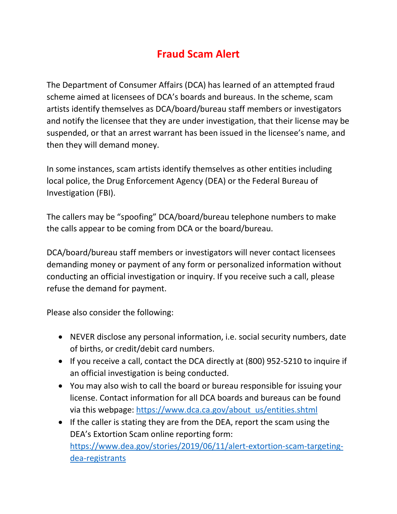## **Fraud Scam Alert**

The Department of Consumer Affairs (DCA) has learned of an attempted fraud scheme aimed at licensees of DCA's boards and bureaus. In the scheme, scam artists identify themselves as DCA/board/bureau staff members or investigators and notify the licensee that they are under investigation, that their license may be suspended, or that an arrest warrant has been issued in the licensee's name, and then they will demand money.

In some instances, scam artists identify themselves as other entities including local police, the Drug Enforcement Agency (DEA) or the Federal Bureau of Investigation (FBI).

The callers may be "spoofing" DCA/board/bureau telephone numbers to make the calls appear to be coming from DCA or the board/bureau.

 conducting an official investigation or inquiry. If you receive such a call, please DCA/board/bureau staff members or investigators will never contact licensees demanding money or payment of any form or personalized information without refuse the demand for payment.

Please also consider the following:

- NEVER disclose any personal information, i.e. social security numbers, date of births, or credit/debit card numbers.
- If you receive a call, contact the DCA directly at (800) 952-5210 to inquire if an official investigation is being conducted.
- You may also wish to call the board or bureau responsible for issuing your license. Contact information for all DCA boards and bureaus can be found via this webpage: https://www.dca.ca.gov/about\_us/entities.shtml
- If the caller is stating they are from the DEA, report the scam using the DEA's Extortion Scam online reporting form: [https://www.dea.gov/stories/2019/06/11/alert-extortion-scam-targeting](https://www.dea.gov/stories/2019/06/11/alert-extortion-scam-targeting-dea-registrants)[dea-registrants](https://www.dea.gov/stories/2019/06/11/alert-extortion-scam-targeting-dea-registrants)